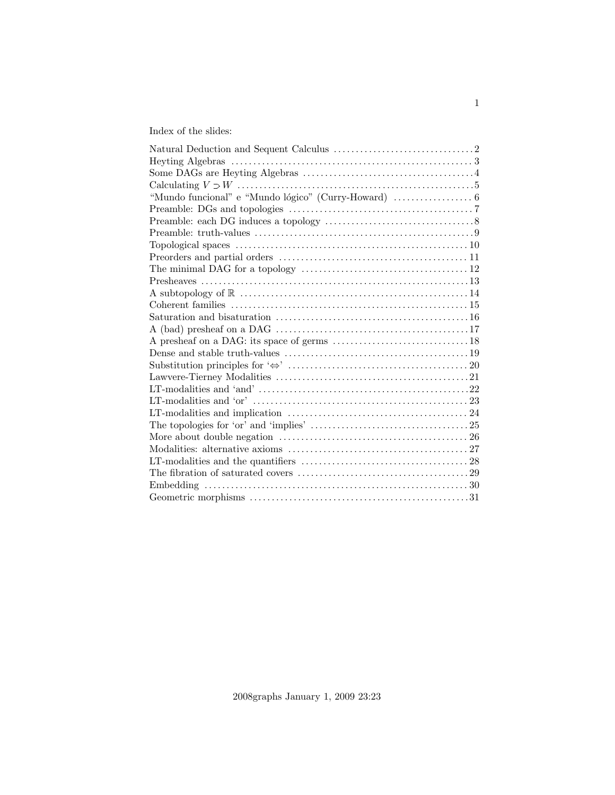# Index of the slides: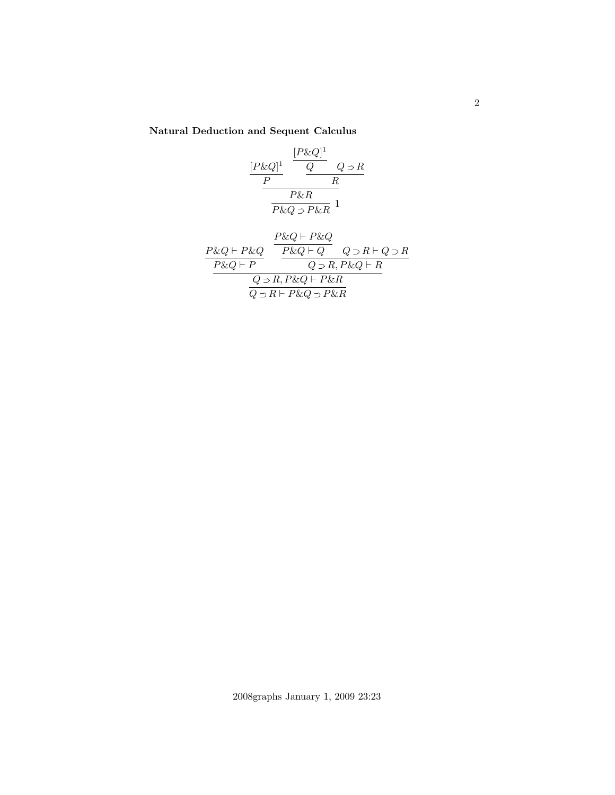Natural Deduction and Sequent Calculus

$$
\frac{[P\&Q]^1}{P} \frac{\frac{[P\&Q]^1}{Q}Q \supset R}{R}
$$

$$
\frac{P\&R}{P\&Q \supset P\&R}1
$$

$$
\frac{P\&Q \vdash P\&Q}{P\&Q \vdash P} \frac{\frac{P\&Q \vdash P\&Q}{P\&Q \vdash Q} \quad Q \supset R \vdash Q \supset R}{Q \supset R, P\&Q \vdash R}
$$
\n
$$
\frac{Q \supset R, P\&Q \vdash P\&R}{Q \supset R \vdash P\&Q \supset P\&R}
$$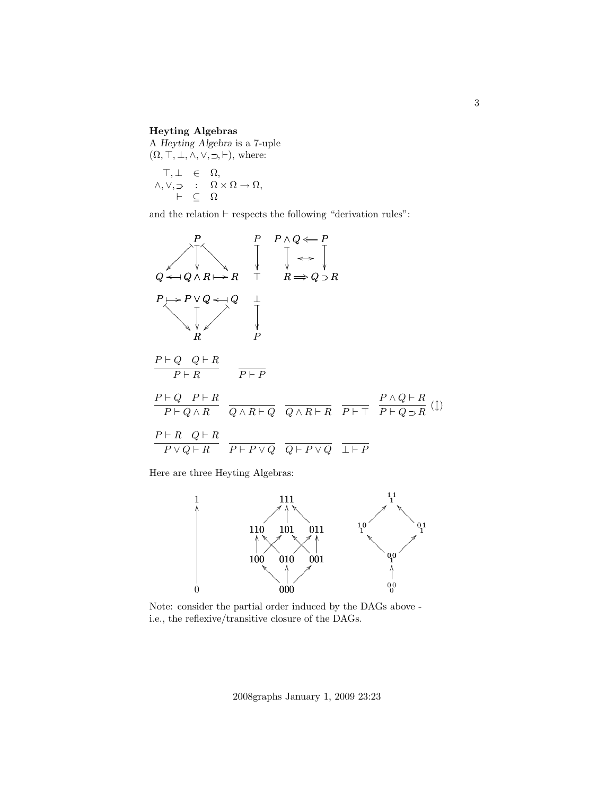## Heyting Algebras

A Heyting Algebra is a 7-uple  $(\Omega, \top, \bot, \wedge, \vee, \supset, \vdash),$  where:

$$
\begin{array}{rcl} \top,\bot & \in & \Omega, \\ \wedge,\vee,\supset & \colon & \Omega\times\Omega\to\Omega, \\ & \vdash & \subseteq & \Omega \end{array}
$$

and the relation  $\vdash$  respects the following "derivation rules":

$$
Q \leftarrow Q \land R \mapsto R \qquad \uparrow \qquad P \land Q \leftarrow P
$$
\n
$$
P \mapsto P \lor Q \leftarrow Q \qquad \downarrow
$$
\n
$$
P \mapsto P \lor Q \leftarrow Q \qquad \downarrow
$$
\n
$$
P \downarrow \qquad \qquad \downarrow
$$
\n
$$
P \downarrow \qquad \qquad \downarrow
$$
\n
$$
P \uparrow Q \quad Q \vdash R
$$
\n
$$
P \vdash Q \quad Q \vdash R
$$
\n
$$
P \vdash R \qquad P \vdash P
$$
\n
$$
\frac{P \vdash Q \quad P \vdash R}{P \vdash Q \land R} \qquad \frac{P \land Q \vdash R}{Q \land R \vdash Q} \qquad \frac{P \land Q \vdash R}{Q \land R \vdash R} \qquad \frac{P \land Q \vdash R}{P \vdash T} \qquad \frac{P \land Q \vdash R}{P \vdash Q \supset R} \qquad \frac{P \land Q \vdash R}{P \vdash Q \supset R} \qquad \frac{P \land Q \vdash R}{P \vdash P \lor Q} \qquad \frac{P \vdash R \quad Q \vdash R}{Q \vdash P \lor Q} \qquad \frac{P \vdash P}{P \vdash P}
$$

Here are three Heyting Algebras:



Note: consider the partial order induced by the DAGs above i.e., the reflexive/transitive closure of the DAGs.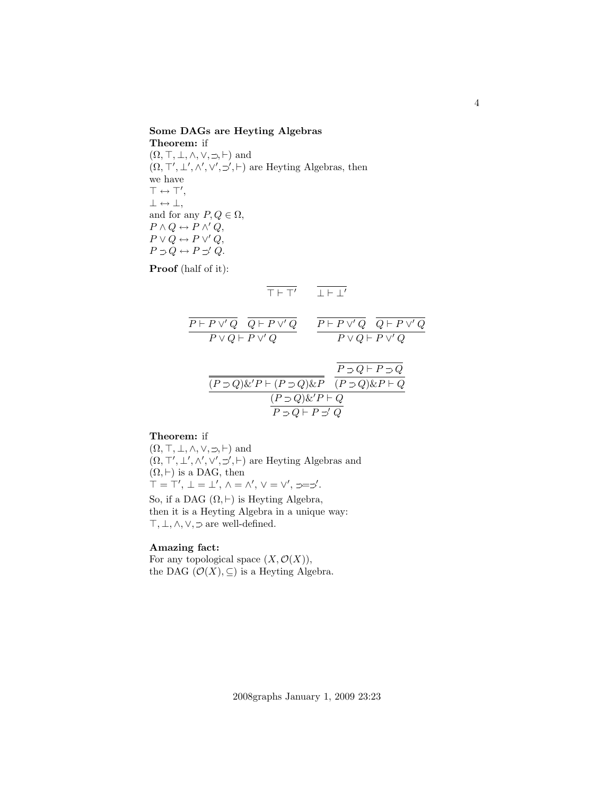Some DAGs are Heyting Algebras

Theorem: if  $(\Omega, \top, \bot, \wedge, \vee, \supset, \vdash)$  and  $(\Omega, \top', \bot', \wedge', \vee', \preceq', \vdash)$  are Heyting Algebras, then we have  $\top \leftrightarrow \top',$  $\bot \leftrightarrow \bot$ , and for any  $P, Q \in \Omega$ ,  $P \wedge Q \leftrightarrow P \wedge' Q$ ,  $P \vee Q \leftrightarrow P \vee' Q,$  $P \supset Q \leftrightarrow P \supset' Q.$ 

Proof (half of it):

$$
\overline{\top \vdash \top'} \qquad \overline{\bot \vdash \bot'}
$$

$$
\begin{array}{cc}\n\overline{P \vdash P \lor Q} & \overline{Q \vdash P \lor Q} & \overline{P \vdash P \lor Q} & \overline{Q \vdash P \lor Q} \\
\hline\nP \lor Q \vdash P \lor Q & & P \lor Q \vdash P \lor Q \\
\hline\n\frac{\overline{P \supset Q \lor P \vdash (P \supset Q) \& P}}{\overline{(P \supset Q) \& P \vdash Q}} & & \overline{\overline{P \supset Q \vdash P \supset Q}} \\
\hline\n\frac{\overline{P \supset Q \vdash P \supset Q}}{\overline{(P \supset Q) \& P \vdash Q}} & & \overline{\overline{P \supset Q \vdash P \supset Q}} \\
\hline\n\overline{P \supset Q \vdash P \supset Q}} & & & \overline{\overline{P \supset Q \vdash P \supset Q}} \\
\hline\n\end{array}
$$

# Theorem: if

 $(\Omega, \top, \bot, \wedge, \vee, \supset, \vdash)$  and  $(\Omega, \top', \bot', \wedge', \vee', \preceq, \vdash)$  are Heyting Algebras and  $(\Omega, \vdash)$  is a DAG, then  $\top = \top', \perp = \perp', \wedge = \wedge', \vee = \vee', \supset = \supset'.$ So, if a DAG  $(\Omega, \vdash)$  is Heyting Algebra,

then it is a Heyting Algebra in a unique way:  $\top, \bot, \land, \lor, \supset$  are well-defined.

# Amazing fact:

For any topological space  $(X, \mathcal{O}(X)),$ the DAG  $(\mathcal{O}(X), \subseteq)$  is a Heyting Algebra.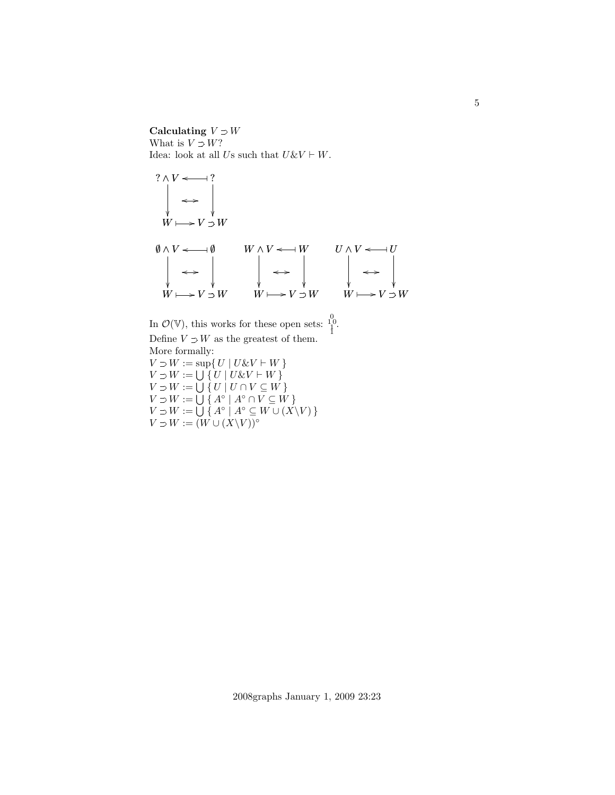## Calculating  $V \supset W$ What is  $V \supset W$ ? Idea: look at all Us such that  $U \& V \vdash W$ .



In  $\mathcal{O}(\mathbb{V})$ , this works for these open sets:  $\frac{1}{1}^0$ . Define  $V \supset W$  as the greatest of them. More formally:  $V \supset W := \sup \{ U \mid U \& V \vdash W \}$  $V \supset W := \bigcup \{ U \mid U \& V \vdash W \}$  $V \supset W := \bigcup \{ U \mid U \cap V \subseteq W \}$  $V \supset W := \bigcup \{ A^\circ \mid A^\circ \cap V \subseteq W \}$  $V \supset W := \bigcup \{ A^\circ \mid A^\circ \subseteq W \cup (X \backslash V) \}$  $V \supset W := (W \cup (X \backslash V))^{\circ}$ 

5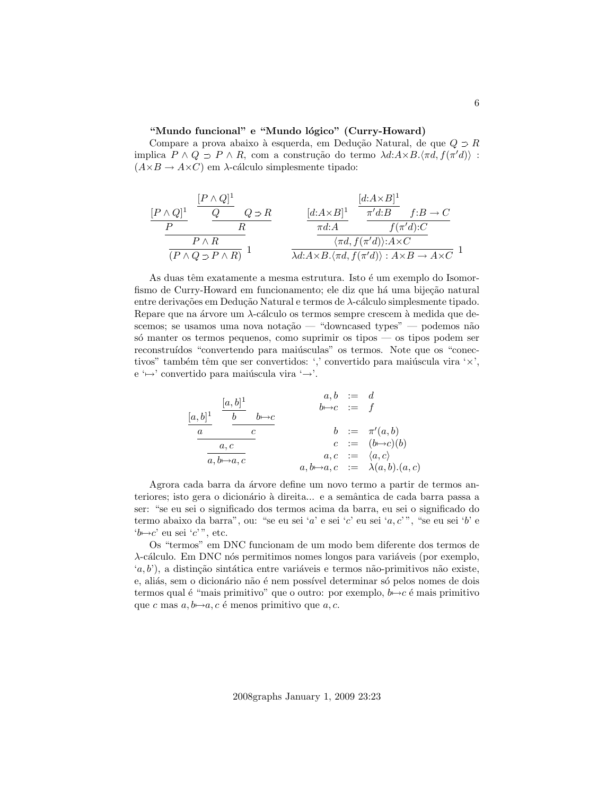#### "Mundo funcional" e "Mundo lógico" (Curry-Howard)

Compare a prova abaixo à esquerda, em Dedução Natural, de que $Q \supset R$ implica  $P \wedge Q \supset P \wedge R$ , com a construção do termo  $\lambda d: A \times B. \langle \pi d, f(\pi' d) \rangle$ :  $(A\times B \to A\times C)$  em  $\lambda$ -cálculo simplesmente tipado:

$$
\frac{[P \wedge Q]^1}{P} \frac{\frac{[P \wedge Q]^1}{Q} Q \supset R}{R} \frac{[d:A \times B]^1}{\frac{\pi d:B}{dX} f:B \to C}
$$
\n
$$
\frac{P \wedge R}{(P \wedge Q \supset P \wedge R)} 1 \frac{[d:A \times B]^1}{\lambda d:A \times B.\langle \pi d, f(\pi' d) \rangle: A \times C} 1
$$

As duas têm exatamente a mesma estrutura. Isto é um exemplo do Isomorfismo de Curry-Howard em funcionamento; ele diz que há uma bijeção natural entre derivações em Dedução Natural e termos de  $\lambda$ -cálculo simplesmente tipado. Repare que na árvore um  $\lambda$ -cálculo os termos sempre crescem à medida que descemos; se usamos uma nova notação — "downcased types" — podemos não só manter os termos pequenos, como suprimir os tipos — os tipos podem ser reconstruídos "convertendo para maiúsculas" os termos. Note que os "conectivos" também têm que ser convertidos: ',' convertido para maiúscula vira ' $\times$ ', e ' $\mapsto$ ' convertido para maiúscula vira ' $\mapsto$ '.

$$
\begin{array}{ccc}\n[a,b]^1 & \xrightarrow{[a,b]^1} & b \rightarrow c & \xrightarrow{a,b} & \xrightarrow{c} & \xrightarrow{d} \\
\hline\n\frac{a}{a} & \xrightarrow{c} & \xrightarrow{b \rightarrow c} & \xrightarrow{c} & \xrightarrow{f} \\
\hline\n\frac{a,c}{a,b \rightarrow a,c} & \xrightarrow{a,b \rightarrow a,c} & \xrightarrow{a,c} & \xrightarrow{c} & \xrightarrow{a,c},\n\end{array}
$$

Agrora cada barra da árvore define um novo termo a partir de termos anteriores; isto gera o dicionário à direita... e a semântica de cada barra passa a ser: "se eu sei o significado dos termos acima da barra, eu sei o significado do termo abaixo da barra", ou: "se eu sei 'a' e sei 'c' eu sei 'a, c'", "se eu sei 'b' e ' $b \mapsto c'$  eu sei 'c'", etc.

Os "termos" em DNC funcionam de um modo bem diferente dos termos de  $\lambda$ -cálculo. Em DNC nós permitimos nomes longos para variáveis (por exemplo,  $(a, b')$ , a distinção sintática entre variáveis e termos não-primitivos não existe, e, aliás, sem o dicionário não é nem possível determinar só pelos nomes de dois termos qual é "mais primitivo" que o outro: por exemplo,  $b \rightarrow c$  é mais primitivo que c mas  $a, b \mapsto a, c$  é menos primitivo que  $a, c$ .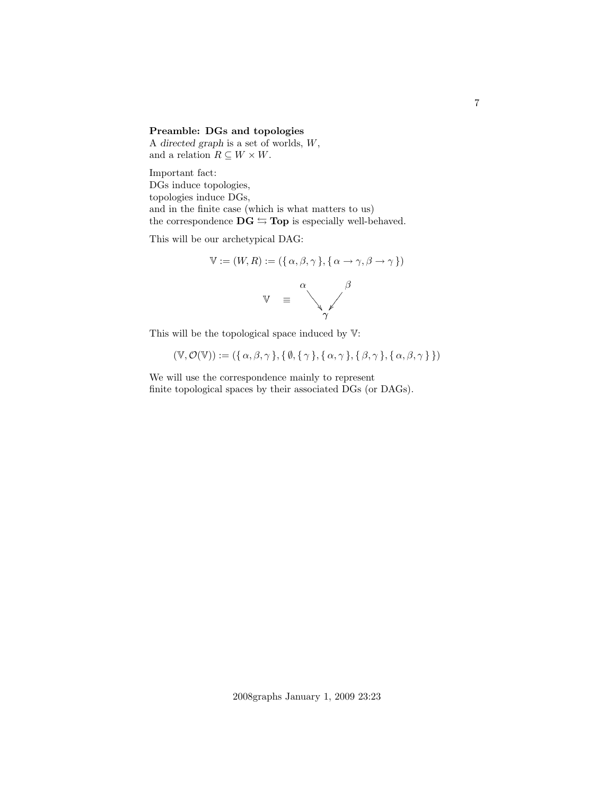## Preamble: DGs and topologies

A directed graph is a set of worlds, W, and a relation  $R \subseteq W \times W$ .

Important fact: DGs induce topologies, topologies induce DGs, and in the finite case (which is what matters to us) the correspondence  $DG \nightharpoonup Top$  is especially well-behaved.

This will be our archetypical DAG:

$$
\mathbb{V} := (W, R) := (\{\alpha, \beta, \gamma\}, \{\alpha \to \gamma, \beta \to \gamma\})
$$

$$
\mathbb{V} = \sqrt{\frac{\beta}{\gamma}}
$$

This will be the topological space induced by  $V$ :

$$
(\mathbb{V}, \mathcal{O}(\mathbb{V})) := (\{ \alpha, \beta, \gamma \}, \{ \emptyset, \{ \gamma \}, \{ \alpha, \gamma \}, \{ \beta, \gamma \}, \{ \alpha, \beta, \gamma \} \})
$$

We will use the correspondence mainly to represent finite topological spaces by their associated DGs (or DAGs). 7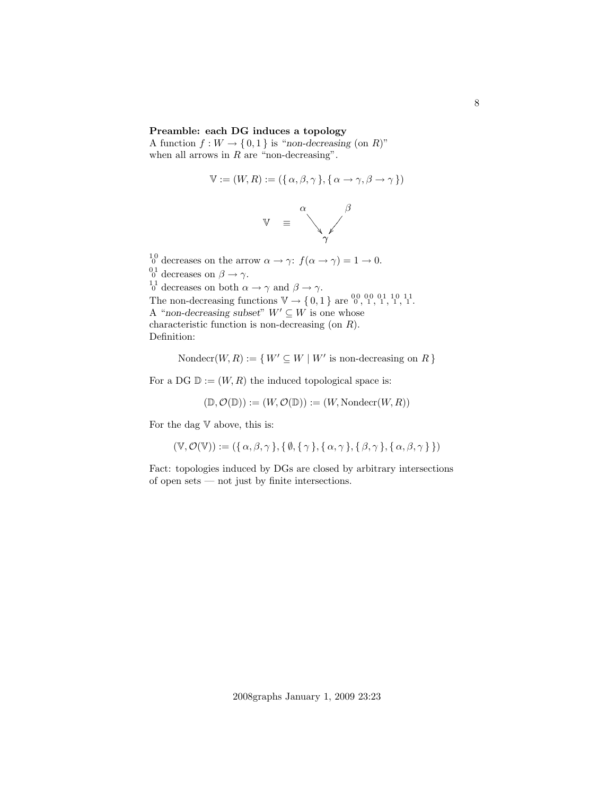### Preamble: each DG induces a topology

A function  $f: W \to \{0,1\}$  is "non-decreasing (on R)" when all arrows in  $R$  are "non-decreasing".

$$
\mathbb{V} := (W, R) := (\{ \alpha, \beta, \gamma \}, \{ \alpha \to \gamma, \beta \to \gamma \})
$$



 $_{0}^{10}$  decreases on the arrow  $\alpha \rightarrow \gamma$ :  $f(\alpha \rightarrow \gamma) = 1 \rightarrow 0$ .  $_{0}^{01}$  decreases on  $\beta \rightarrow \gamma$ .  $\frac{11}{0}$  decreases on both  $\alpha \to \gamma$  and  $\beta \to \gamma$ . The non-decreasing functions  $\mathbb{V} \to \{0, 1\}$  are  $\substack{0, 0, 0, 0, 1, 1, 1, 1, 1, 1}$ . A "non-decreasing subset"  $W' \subseteq W$  is one whose characteristic function is non-decreasing (on R). Definition:

Nondecr $(W, R) := \{ W' \subseteq W \mid W' \text{ is non-decreasing on } R \}$ 

For a DG  $\mathbb{D} := (W, R)$  the induced topological space is:

$$
(\mathbb{D}, \mathcal{O}(\mathbb{D})) := (W, \mathcal{O}(\mathbb{D})) := (W, \text{Nondecr}(W, R))
$$

For the dag  $V$  above, this is:

$$
(\mathbb{V}, \mathcal{O}(\mathbb{V})) := (\{ \alpha, \beta, \gamma \}, \{ \emptyset, \{ \gamma \}, \{ \alpha, \gamma \}, \{ \beta, \gamma \}, \{ \alpha, \beta, \gamma \} \})
$$

Fact: topologies induced by DGs are closed by arbitrary intersections of open sets — not just by finite intersections.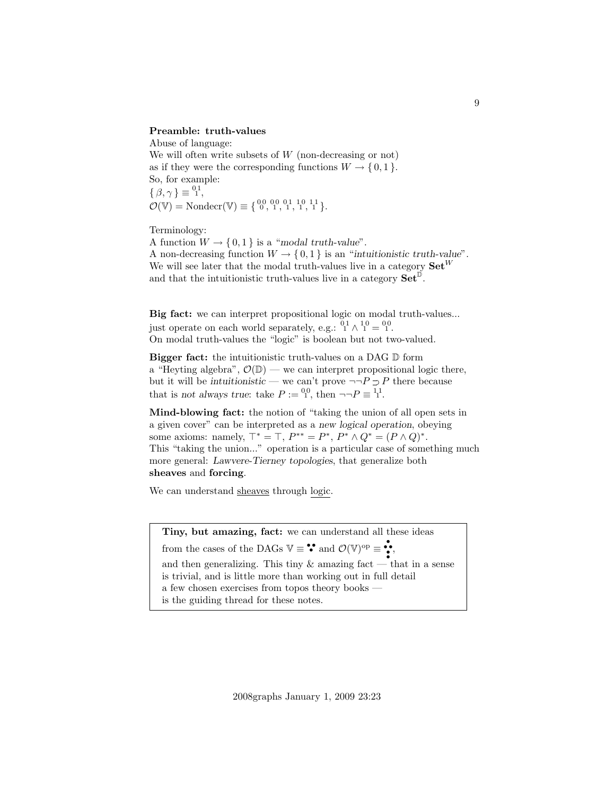#### Preamble: truth-values

Abuse of language: We will often write subsets of  $W$  (non-decreasing or not) as if they were the corresponding functions  $W \to \{0, 1\}$ . So, for example:  $\{\beta,\gamma\}\equiv \stackrel{01}{\scriptscriptstyle\perp}$  $\mathcal{O}(\mathbb{V}) = \text{Nondecr}(\mathbb{V}) \equiv \{ \begin{smallmatrix} 0 & 0 & 0 & 0 & 1 & 1 & 0 & 1 & 1 \\ 0 & 0 & 1 & 0 & 1 & 1 & 1 & 1 \\ 0 & 0 & 0 & 0 & 0 & 1 & 1 & 1 & 1 \end{smallmatrix} \}.$ 

Terminology:

A function  $W \to \{0, 1\}$  is a "modal truth-value". A non-decreasing function  $W \to \{0,1\}$  is an "intuitionistic truth-value". We will see later that the modal truth-values live in a category  $\mathbf{Set}^W$ and that the intuitionistic truth-values live in a category  $\mathbf{Set}^{\mathbb{D}}$ .

Big fact: we can interpret propositional logic on modal truth-values... just operate on each world separately, e.g.:  $\frac{01}{1} \wedge \frac{10}{1} = \frac{00}{1}$ . On modal truth-values the "logic" is boolean but not two-valued.

Bigger fact: the intuitionistic truth-values on a DAG D form a "Heyting algebra",  $\mathcal{O}(\mathbb{D})$  — we can interpret propositional logic there, but it will be intuitionistic — we can't prove  $\neg P \supset P$  there because that is not always true: take  $P := {}^{00}_{1}$ , then  $\neg P \equiv {}^{11}_{1}$ .

Mind-blowing fact: the notion of "taking the union of all open sets in a given cover" can be interpreted as a new logical operation, obeying some axioms: namely,  $T^* = T$ ,  $P^{**} = P^*$ ,  $P^* \wedge Q^* = (P \wedge Q)^*$ . This "taking the union..." operation is a particular case of something much more general: Lawvere-Tierney topologies, that generalize both sheaves and forcing.

We can understand sheaves through logic.

Tiny, but amazing, fact: we can understand all these ideas from the cases of the DAGs  $\mathbb{V} \equiv \mathbf{S}$  and  $\mathcal{O}(\mathbb{V})^{\text{op}} \equiv \mathbf{S}$ . and then generalizing. This tiny  $\&$  amazing fact — that in a sense is trivial, and is little more than working out in full detail a few chosen exercises from topos theory books is the guiding thread for these notes.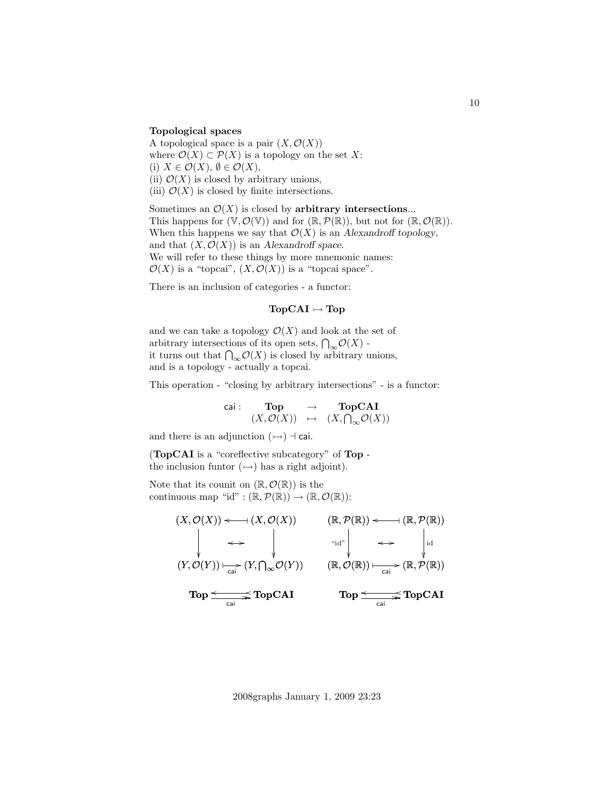### Topological spaces

A topological space is a pair  $(X, \mathcal{O}(X))$ where  $\mathcal{O}(X) \subset \mathcal{P}(X)$  is a topology on the set X: (i)  $X \in \mathcal{O}(X)$ ,  $\emptyset \in \mathcal{O}(X)$ , (ii)  $\mathcal{O}(X)$  is closed by arbitrary unions, (iii)  $\mathcal{O}(X)$  is closed by finite intersections.

Sometimes an  $\mathcal{O}(X)$  is closed by arbitrary intersections... This happens for  $(\mathbb{V}, \mathcal{O}(\mathbb{V}))$  and for  $(\mathbb{R}, \mathcal{P}(\mathbb{R}))$ , but not for  $(\mathbb{R}, \mathcal{O}(\mathbb{R}))$ . When this happens we say that  $\mathcal{O}(X)$  is an Alexandroff topology, and that  $(X, \mathcal{O}(X))$  is an Alexandroff space. We will refer to these things by more mnemonic names:  $\mathcal{O}(X)$  is a "topcai",  $(X, \mathcal{O}(X))$  is a "topcai space".

There is an inclusion of categories - a functor:

# $\mathbf{TopCAI} \rightarrowtail \mathbf{Top}$

and we can take a topology  $\mathcal{O}(X)$  and look at the set of arbitrary intersections of its open sets,  $\bigcap_{\infty} \mathcal{O}(X)$ . it turns out that  $\bigcap_{\infty} \mathcal{O}(X)$  is closed by arbitrary unions, and is a topology - actually a topcai.

This operation - "closing by arbitrary intersections" - is a functor:

$$
\begin{array}{cccc}\text{cai}: & \textbf{Top} & \rightarrow & \textbf{TopCAI}\\ & (X,\mathcal{O}(X)) & \mapsto & (X,\bigcap_{\infty}\mathcal{O}(X))\end{array}
$$

and there is an adjunction  $(\rightarrowtail) \dashv$  cai.

(TopCAI is a "coreflective subcategory" of Top the inclusion funtor  $(\rightarrowtail)$  has a right adjoint).

Note that its counit on  $(\mathbb{R}, \mathcal{O}(\mathbb{R}))$  is the continuous map "id" :  $(\mathbb{R}, \mathcal{P}(\mathbb{R})) \to (\mathbb{R}, \mathcal{O}(\mathbb{R}))$ :

$$
(X, \mathcal{O}(X)) \longleftrightarrow (X, \mathcal{O}(X)) \qquad (\mathbb{R}, \mathcal{P}(\mathbb{R})) \longleftrightarrow (\mathbb{R}, \mathcal{P}(\mathbb{R}))
$$
  
\n
$$
\longleftrightarrow \qquad \qquad \downarrow \qquad \downarrow \qquad \downarrow \qquad \downarrow \qquad \downarrow \qquad \downarrow \qquad \downarrow \qquad \downarrow \qquad \downarrow \qquad \downarrow \qquad \downarrow \qquad \downarrow \qquad \downarrow \qquad \downarrow \qquad \downarrow \qquad \downarrow \qquad \downarrow \qquad \downarrow \qquad \downarrow \qquad \downarrow \qquad \downarrow \qquad \downarrow \qquad \downarrow \qquad \downarrow \qquad \downarrow \qquad \downarrow \qquad \downarrow \qquad \downarrow \qquad \downarrow \qquad \downarrow \qquad \downarrow \qquad \downarrow \qquad \downarrow \qquad \downarrow \qquad \downarrow \qquad \downarrow \qquad \downarrow \qquad \downarrow \qquad \downarrow \qquad \downarrow \qquad \downarrow \qquad \downarrow \qquad \downarrow \qquad \downarrow \qquad \downarrow \qquad \downarrow \qquad \downarrow \qquad \downarrow \qquad \downarrow \qquad \downarrow \qquad \downarrow \qquad \downarrow \qquad \downarrow \qquad \downarrow \qquad \downarrow \qquad \downarrow \qquad \downarrow \qquad \downarrow \qquad \downarrow \qquad \downarrow \qquad \downarrow \qquad \downarrow \qquad \downarrow \qquad \downarrow \qquad \downarrow \qquad \downarrow \qquad \downarrow \qquad \downarrow \qquad \downarrow \qquad \downarrow \qquad \downarrow \qquad \downarrow \qquad \downarrow \qquad \downarrow \qquad \downarrow \qquad \downarrow \qquad \downarrow \qquad \downarrow \qquad \downarrow \qquad \downarrow \qquad \downarrow \qquad \downarrow \qquad \downarrow \qquad \downarrow \qquad \downarrow \qquad \downarrow \qquad \downarrow \qquad \downarrow \qquad \downarrow \qquad \downarrow \qquad \downarrow \qquad \downarrow \qquad \downarrow \qquad \downarrow \qquad \downarrow \qquad \downarrow \qquad \downarrow \qquad \downarrow \qquad \downarrow \qquad \downarrow \qquad \downarrow \qquad \downarrow \qquad \downarrow \qquad \downarrow \qquad \downarrow \qquad \downarrow \qquad \downarrow \qquad \downarrow \qquad \downarrow \qquad \downarrow \qquad \downarrow \qquad \downarrow \qquad \downarrow \
$$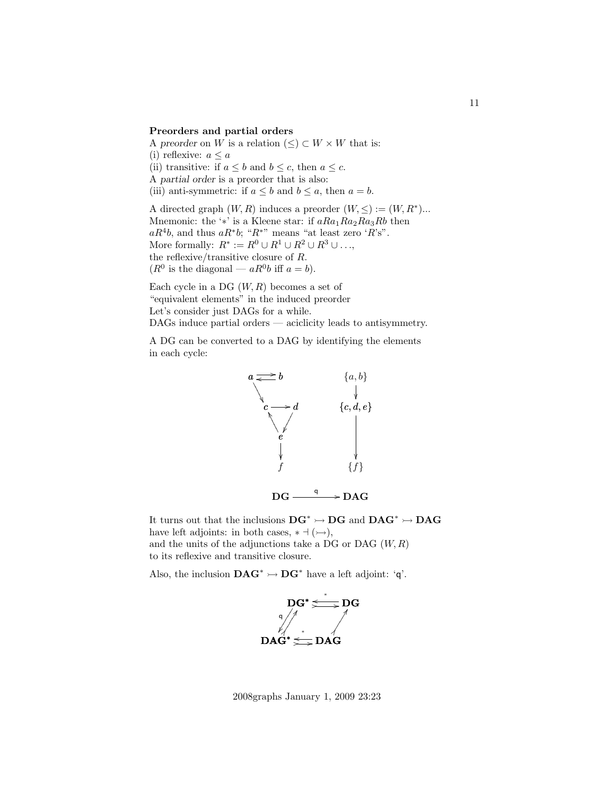#### Preorders and partial orders

A preorder on W is a relation  $(\leq) \subset W \times W$  that is: (i) reflexive:  $a \leq a$ (ii) transitive: if  $a \leq b$  and  $b \leq c$ , then  $a \leq c$ . A partial order is a preorder that is also: (iii) anti-symmetric: if  $a \leq b$  and  $b \leq a$ , then  $a = b$ . A directed graph  $(W, R)$  induces a preorder  $(W, \leq) := (W, R^*)...$ 

Mnemonic: the '\*' is a Kleene star: if  $aRa_1Ra_2Ra_3Rb$  then  $aR^4b$ , and thus  $aR^*b$ ; " $R^{*n}$ " means "at least zero ' $R$ 's". More formally:  $R^* := R^0 \cup R^1 \cup R^2 \cup R^3 \cup \ldots$ , the reflexive/transitive closure of R.  $(R^0$  is the diagonal —  $aR^0b$  iff  $a = b$ ).

Each cycle in a DG  $(W, R)$  becomes a set of "equivalent elements" in the induced preorder Let's consider just DAGs for a while. DAGs induce partial orders — aciclicity leads to antisymmetry.

A DG can be converted to a DAG by identifying the elements in each cycle:



 $DG \xrightarrow{\text{q}} \text{DAG}$ 

It turns out that the inclusions  $\mathbf{DG}^* \rightarrowtail \mathbf{DG}$  and  $\mathbf{DAG}^* \rightarrowtail \mathbf{DAG}$ have left adjoints: in both cases,  $* \dashv (\rightarrowtail),$ and the units of the adjunctions take a DG or DAG  $(W, R)$ to its reflexive and transitive closure.

Also, the inclusion  $\mathbf{DAG}^* \rightarrow \mathbf{DG}^*$  have a left adjoint: 'q'.



2008graphs January 1, 2009 23:23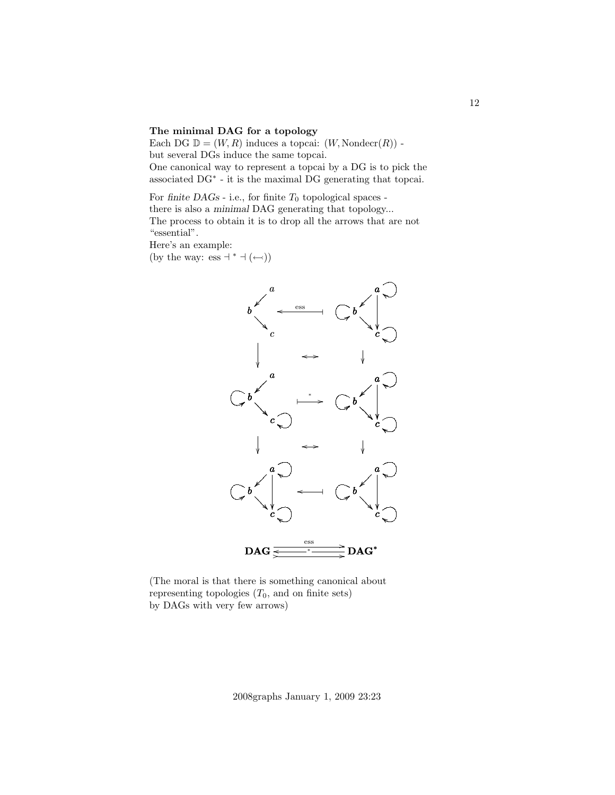### The minimal DAG for a topology

Each DG  $\mathbb{D} = (W, R)$  induces a topcai:  $(W, \text{Nonder}(R))$  but several DGs induce the same topcai.

One canonical way to represent a topcai by a DG is to pick the associated DG<sup>∗</sup> - it is the maximal DG generating that topcai.

For finite  $DAGs$  - i.e., for finite  $T_0$  topological spaces there is also a minimal DAG generating that topology... The process to obtain it is to drop all the arrows that are not "essential".

Here's an example: (by the way: ess  $+^*$  + ( $\leftrightarrow$ ))



(The moral is that there is something canonical about representing topologies  $(T_0, \text{ and on finite sets})$ by DAGs with very few arrows)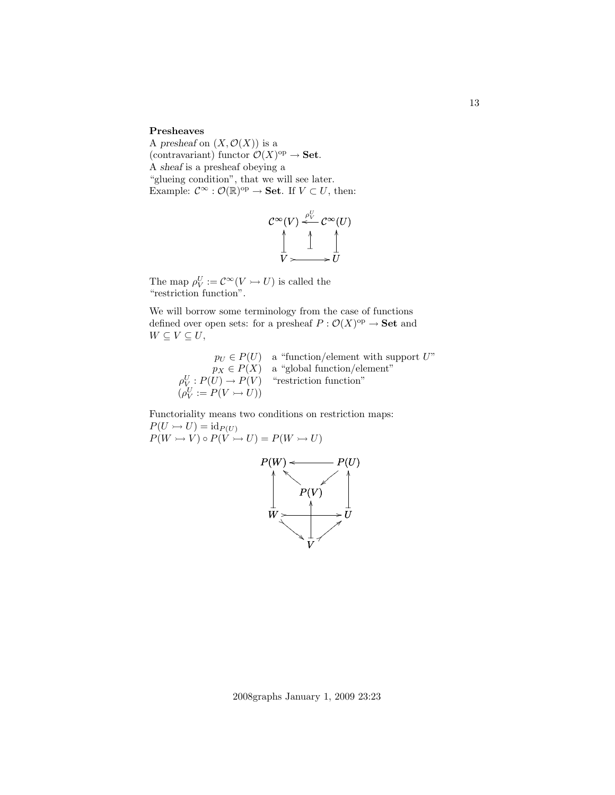### Presheaves

A presheaf on  $(X, \mathcal{O}(X))$  is a (contravariant) functor  $\mathcal{O}(X)^\text{op} \to \mathbf{Set}.$ A sheaf is a presheaf obeying a "glueing condition", that we will see later. Example:  $\mathcal{C}^{\infty} : \mathcal{O}(\mathbb{R})^{\text{op}} \to \mathbf{Set}$ . If  $V \subset U$ , then:

$$
\mathcal{C}^{\infty}(V) \xleftarrow{\rho_V^U} \mathcal{C}^{\infty}(U)
$$
  

$$
\downarrow \qquad \qquad \downarrow
$$
  

$$
V \longrightarrow U
$$

The map  $\rho_V^U := \mathcal{C}^\infty(V \rightarrowtail U)$  is called the "restriction function".

We will borrow some terminology from the case of functions defined over open sets: for a presheaf  $P: \mathcal{O}(X)^\text{op} \to \mathbf{Set}$  and  $W \subseteq V \subseteq U$ ,

> $p_U \in P(U)$  a "function/element with support U"  $p_X \in P(X)$  a "global function/element"  $\rho^U_{V} : P(U) \to P(V)$  "restriction function"  $(\rho_V^U := P(V \rightarrowtail U))$

Functoriality means two conditions on restriction maps:  $P(U \rightarrow U) = id_{P(U)}$  $P(W \rightarrowtail V) \circ P(\hat{V} \rightarrowtail U) = P(W \rightarrowtail U)$ 



2008graphs January 1, 2009 23:23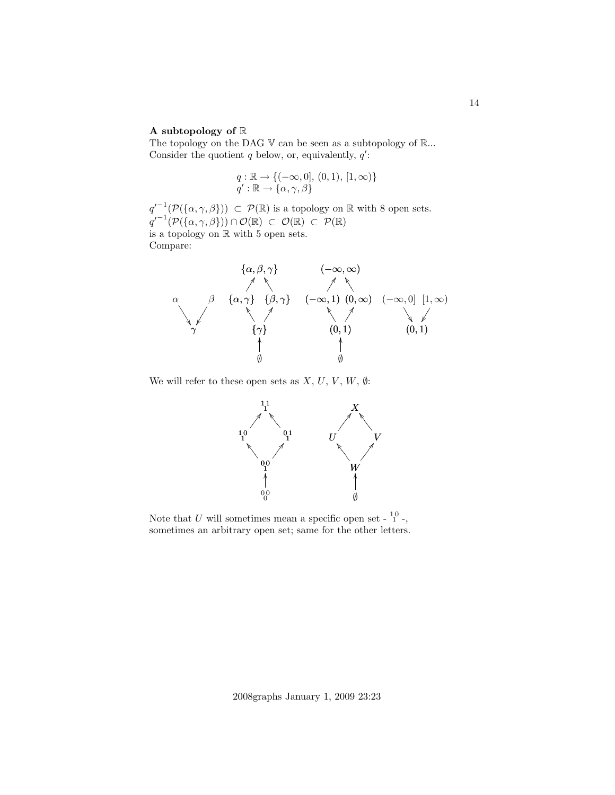#### A subtopology of  $\mathbb R$

The topology on the DAG  $V$  can be seen as a subtopology of  $\mathbb{R}$ ... Consider the quotient  $q$  below, or, equivalently,  $q'$ :

$$
q: \mathbb{R} \to \{(-\infty, 0], (0, 1), [1, \infty)\}\
$$
  

$$
q': \mathbb{R} \to \{\alpha, \gamma, \beta\}
$$

 $q^{-1}(\mathcal{P}(\{\alpha,\gamma,\beta\})) \subset \mathcal{P}(\mathbb{R})$  is a topology on  $\mathbb R$  with 8 open sets.  $q^{-1}(\mathcal{P}(\{\alpha,\gamma,\beta\}))\cap\mathcal{O}(\mathbb{R})\subset\mathcal{O}(\mathbb{R})\subset\mathcal{P}(\mathbb{R})$ is a topology on R with 5 open sets. Compare:



We will refer to these open sets as  $X, U, V, W, \emptyset$ :



Note that U will sometimes mean a specific open set -  $1^0$  -, sometimes an arbitrary open set; same for the other letters.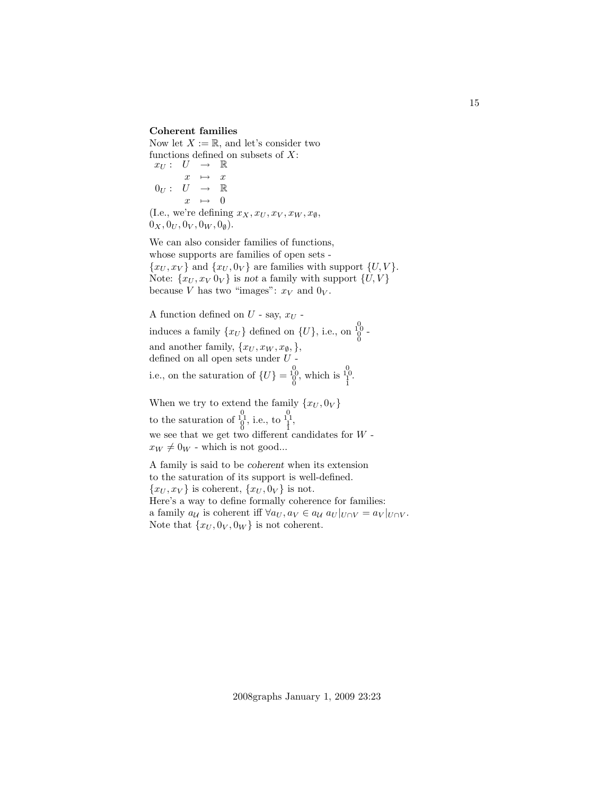### Coherent families

Now let  $X := \mathbb{R}$ , and let's consider two functions defined on subsets of  $X$ :

 $x_U: U \rightarrow \mathbb{R}$  $x \rightarrow x$  $0_U: U \rightarrow \mathbb{R}$  $x \rightarrow 0$ (I.e., we're defining  $x_X, x_U, x_V, x_W, x_{\emptyset}$ ,

 $0_X, 0_U, 0_V, 0_W, 0_{\emptyset}).$ 

We can also consider families of functions, whose supports are families of open sets -  $\{x_U, x_V\}$  and  $\{x_U, 0_V\}$  are families with support  $\{U, V\}$ . Note:  $\{x_U, x_V 0_V\}$  is not a family with support  $\{U, V\}$ because V has two "images":  $x_V$  and  $0_V$ .

A function defined on  $U$  - say,  $x_U$  induces a family  $\{x_U\}$  defined on  $\{U\}$ , i.e., on  $\bigoplus_0^0$ and another family,  $\{x_U, x_W, x_{\emptyset},\},$ defined on all open sets under  $U$  i.e., on the saturation of  $\{U\} = \begin{bmatrix} 0 \\ 0 \\ 0 \end{bmatrix}$ , which is  $\begin{bmatrix} 0 \\ 1 \\ 1 \end{bmatrix}$ .

When we try to extend the family  $\{x_U, 0_V\}$ to the saturation of  $\frac{0}{0}$ , i.e., to  $\frac{0}{1}$ ,  $\frac{0}{1}$ , we see that we get two different candidates for  $W$   $x_W \neq 0_W$  - which is not good...

A family is said to be coherent when its extension to the saturation of its support is well-defined.  $\{x_U, x_V\}$  is coherent,  $\{x_U, 0_V\}$  is not. Here's a way to define formally coherence for families: a family  $a_{\mathcal{U}}$  is coherent iff  $\forall a_U, a_V \in a_{\mathcal{U}} \ a_U |_{U \cap V} = a_V |_{U \cap V}$ . Note that  $\{x_U, 0_V, 0_W\}$  is not coherent.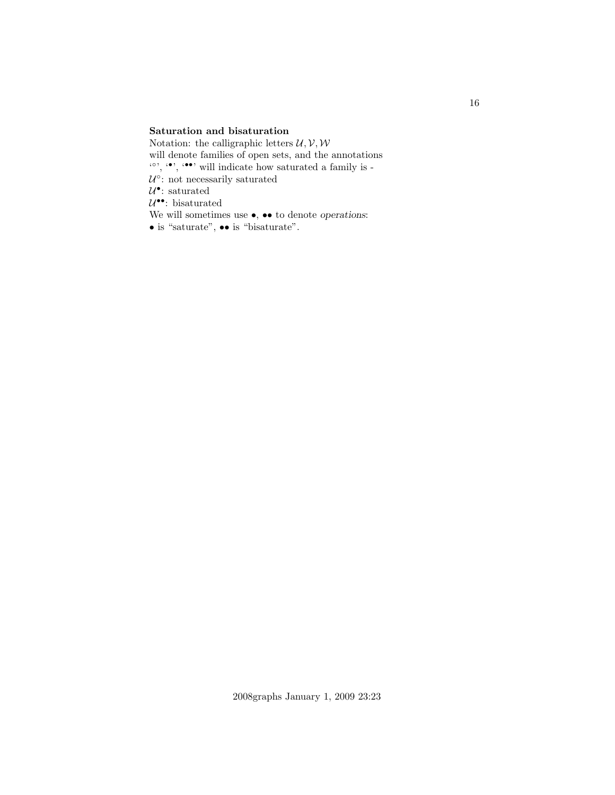## Saturation and bisaturation

Notation: the calligraphic letters  $\mathcal{U}, \mathcal{V}, \mathcal{W}$ will denote families of open sets, and the annotations  $\langle \cdot \rangle$ ,  $\langle \cdot \rangle$ ,  $\langle \cdot \rangle$  will indicate how saturated a family is - $U^{\circ}$ : not necessarily saturated  $U^{\bullet}$ : saturated  $U^{\bullet\bullet}$ : bisaturated We will sometimes use  $\bullet,\,\bullet\bullet$  to denote operations:  $\bullet$  is "saturate",  $\bullet\bullet$  is "bisaturate".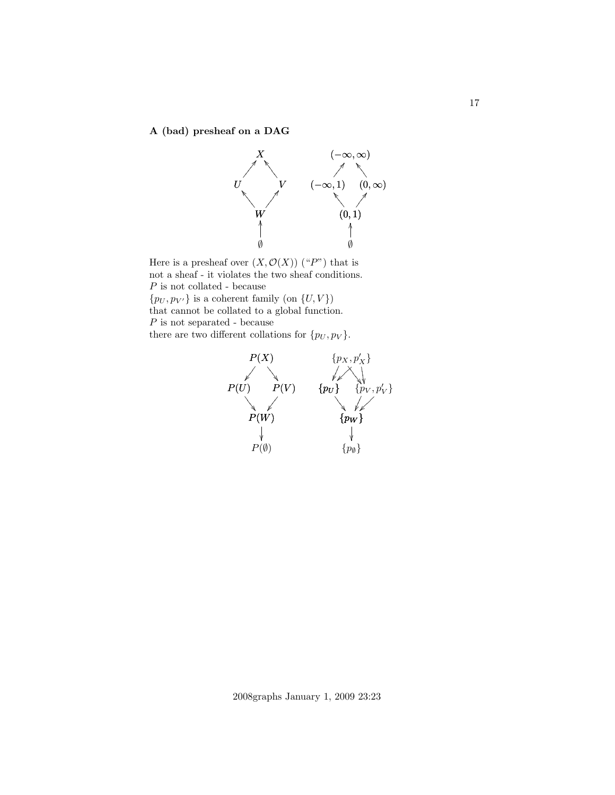A (bad) presheaf on a DAG



Here is a presheaf over  $(X, \mathcal{O}(X))$  ("P") that is not a sheaf - it violates the two sheaf conditions.  $\boldsymbol{P}$  is not collated - because  $\{p_U, p_{V'}\}$  is a coherent family (on  $\{U, V\}$ ) that cannot be collated to a global function. P is not separated - because there are two different collations for  $\{p_U, p_V\}$ .



2008graphs January 1, 2009 23:23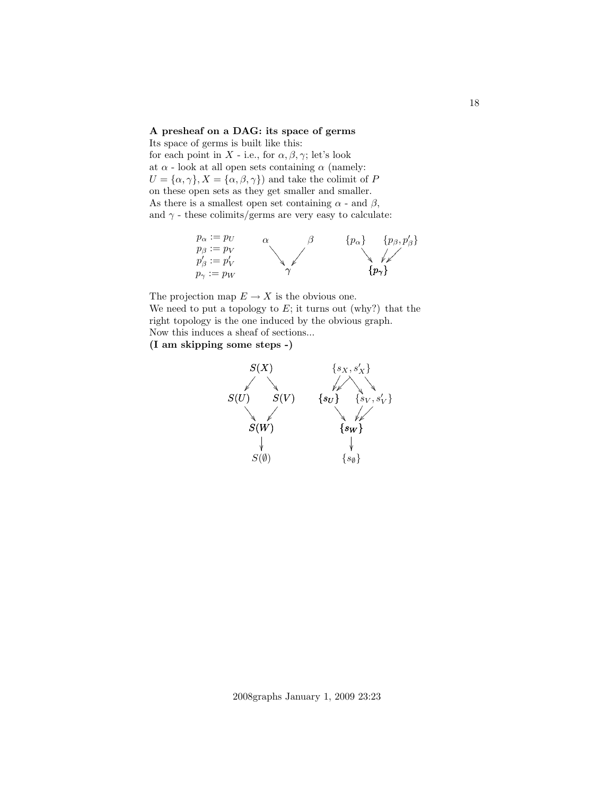### A presheaf on a DAG: its space of germs

Its space of germs is built like this: for each point in X - i.e., for  $\alpha$ ,  $\beta$ ,  $\gamma$ ; let's look at  $\alpha$  - look at all open sets containing  $\alpha$  (namely:  $U = {\alpha, \gamma}, X = {\alpha, \beta, \gamma}$  and take the colimit of P on these open sets as they get smaller and smaller. As there is a smallest open set containing  $\alpha$  - and  $\beta$ , and  $\gamma$  - these colimits/germs are very easy to calculate:



The projection map  $E \to X$  is the obvious one. We need to put a topology to  $E$ ; it turns out (why?) that the right topology is the one induced by the obvious graph. Now this induces a sheaf of sections... (I am skipping some steps -)

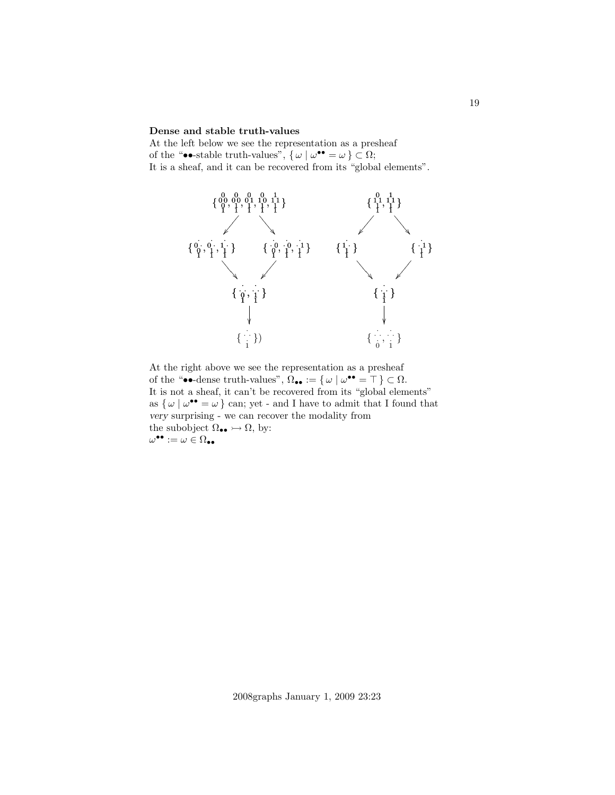#### Dense and stable truth-values

At the left below we see the representation as a presheaf of the "••-stable truth-values",  $\{\omega \mid \omega^{\bullet \bullet} = \omega\} \subset \Omega;$ It is a sheaf, and it can be recovered from its "global elements".



At the right above we see the representation as a presheaf of the "••-dense truth-values",  $\Omega_{\bullet \bullet} := \{ \omega \mid \omega^{\bullet \bullet} = \top \} \subset \Omega$ . It is not a sheaf, it can't be recovered from its "global elements" as  $\{\omega \mid \omega^{\bullet \bullet} = \omega\}$  can; yet - and I have to admit that I found that very surprising - we can recover the modality from the subobject  $\Omega_{\bullet\bullet} \rightarrow \Omega$ , by:  $\omega^{\bullet \bullet} := \omega \in \Omega_{\bullet \bullet}$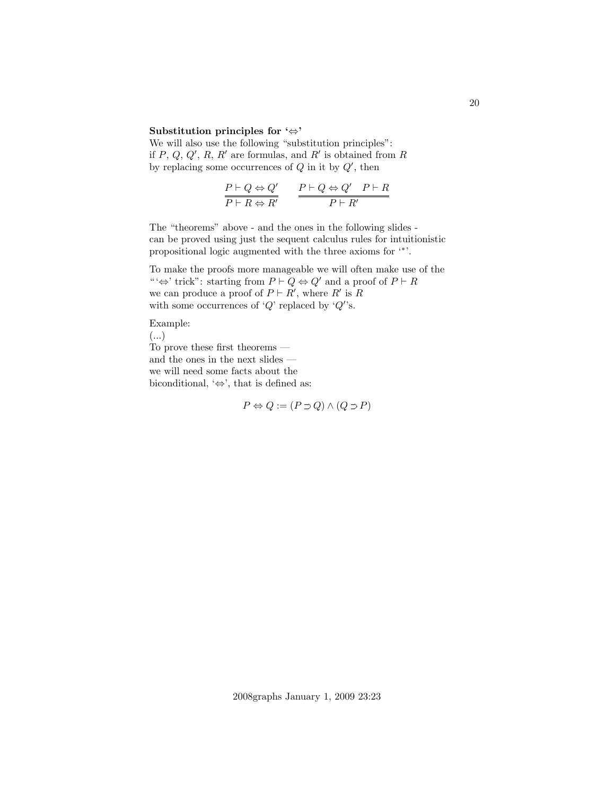### Substitution principles for '⇔'

We will also use the following "substitution principles": if  $P, Q, Q', R, R'$  are formulas, and  $R'$  is obtained from R by replacing some occurrences of  $Q$  in it by  $Q'$ , then

$$
\frac{P \vdash Q \Leftrightarrow Q'}{P \vdash R \Leftrightarrow R'} \qquad \frac{P \vdash Q \Leftrightarrow Q' \quad P \vdash R}{P \vdash R'}
$$

The "theorems" above - and the ones in the following slides can be proved using just the sequent calculus rules for intuitionistic propositional logic augmented with the three axioms for '<sup>\*'</sup>.

To make the proofs more manageable we will often make use of the "' $\Leftrightarrow$ ' trick": starting from  $P \vdash Q \Leftrightarrow Q'$  and a proof of  $P \vdash R$ we can produce a proof of  $P \vdash R'$ , where R' is R with some occurrences of ' $Q$ ' replaced by ' $Q$ ''s.

Example:

(...)

To prove these first theorems and the ones in the next slides we will need some facts about the biconditional,  $\leftrightarrow$ , that is defined as:

$$
P \Leftrightarrow Q := (P \mathbin{\supset} Q) \land (Q \mathbin{\supset} P)
$$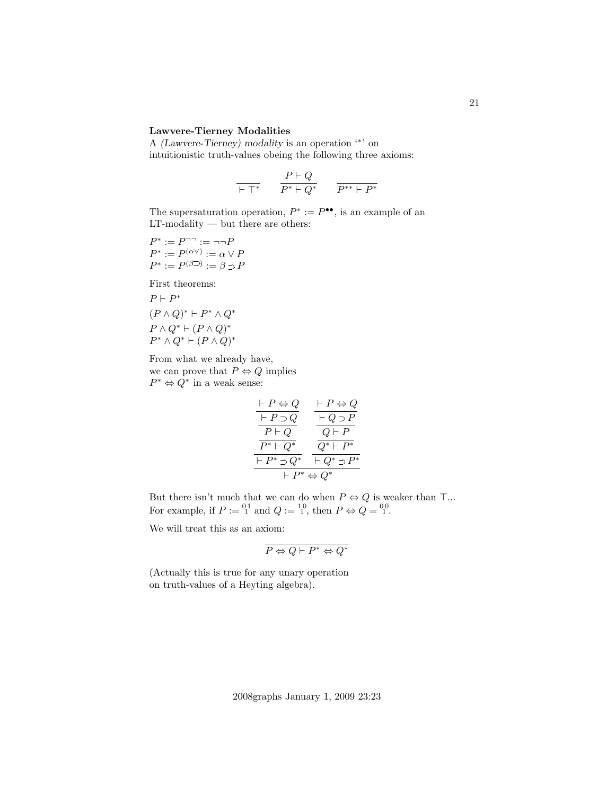### Lawvere-Tierney Modalities

A (Lawvere-Tierney) modality is an operation '<sup>∗</sup> ' on intuitionistic truth-values obeing the following three axioms:

$$
\frac{P \vdash Q}{\vdash \top^*} \qquad \frac{P \vdash Q}{P^* \vdash Q^*} \qquad \frac{}{P^{**} \vdash P^*}
$$

The supersaturation operation,  $P^* := P^{\bullet \bullet}$ , is an example of an LT-modality — but there are others:

$$
P^* := P^{-} := \neg \neg P
$$
  

$$
P^* := P^{(\alpha \vee)} := \alpha \vee P
$$
  

$$
P^* := P^{(\beta \supset)} := \beta \supset P
$$

First theorems:

$$
P \vdash P^*
$$
  
\n
$$
(P \land Q)^* \vdash P^* \land Q^*
$$
  
\n
$$
P \land Q^* \vdash (P \land Q)^*
$$
  
\n
$$
P^* \land Q^* \vdash (P \land Q)^*
$$

From what we already have, we can prove that  $P \Leftrightarrow Q$  implies  $P^* \Leftrightarrow Q^*$  in a weak sense:

$$
\frac{\begin{array}{ccc}\n\vdash P \Leftrightarrow Q & \vdash P \Leftrightarrow Q \\
\hline\n& \vdash P \supset Q & \hline\n& \downarrow Q \supset P \\
\hline\n& P \vdash Q^* & Q \vdash P \\
\hline\n& P^* \vdash Q^* & \hline\n& Q^* \vdash P^* \\
\hline\n& \vdash P^* \Leftrightarrow Q^* & \hline\n& \downarrow Q^* \supset P^* \\
& \vdash P^* \Leftrightarrow Q^* &\n\end{array}
$$

But there isn't much that we can do when  $P \Leftrightarrow Q$  is weaker than  $\top ...$ For example, if  $P := {}^{01}_{1}$  and  $Q := {}^{10}_{1}$ , then  $P \Leftrightarrow Q = {}^{00}_{1}$ .

We will treat this as an axiom:

$$
\overline{P \Leftrightarrow Q \vdash P^* \Leftrightarrow Q^*}
$$

(Actually this is true for any unary operation on truth-values of a Heyting algebra).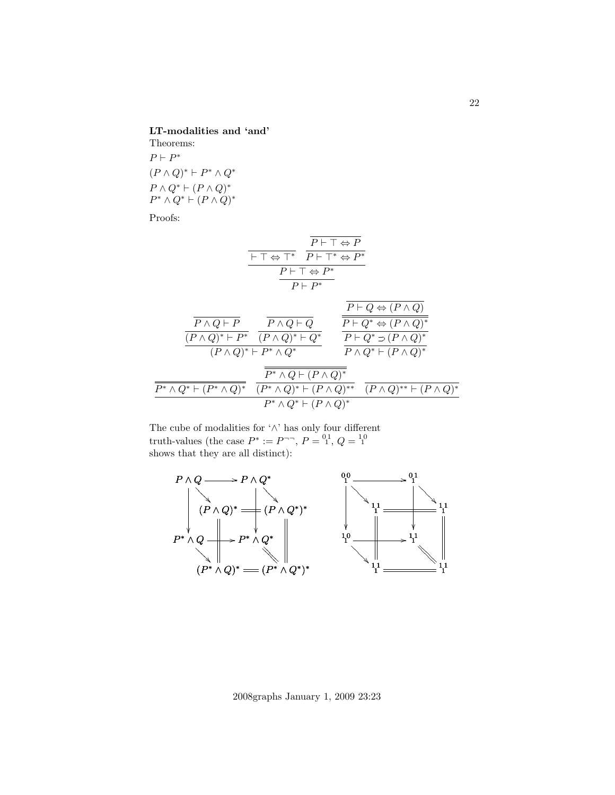LT-modalities and 'and'

Theorems:  $P \vdash P^*$  $(P \wedge Q)^* \vdash P^* \wedge Q^*$  $P \wedge Q^* \vdash (P \wedge Q)^*$  $P^* \wedge Q^* \vdash (P \wedge Q)^*$ 

Proofs:

$$
\begin{array}{c}\n\overline{P \vdash \top \Leftrightarrow P} \\
\hline\n\overline{\vdash \top \Leftrightarrow \top^*} & \overline{P \vdash \top^* \Leftrightarrow P^*} \\
\hline\n\overline{P \vdash \top \Leftrightarrow P^*} \\
\hline\n\overline{P \vdash P^*}\n\end{array}
$$

|                                                      |                                                                                | $P \vdash Q \Leftrightarrow (P \land Q)$                                              |
|------------------------------------------------------|--------------------------------------------------------------------------------|---------------------------------------------------------------------------------------|
| $P \wedge Q \vdash P$<br>$(P \wedge Q)^* \vdash P^*$ | $P \wedge Q \vdash Q$<br>$(P \wedge Q)^* \vdash Q^*$                           | $P \vdash Q^* \Leftrightarrow (P \land Q)^*$<br>$P \vdash Q^* \supset (P \wedge Q)^*$ |
|                                                      | $(P \wedge Q)^* \vdash P^* \wedge Q^*$<br>$P^* \wedge Q \vdash (P \wedge Q)^*$ | $P \wedge Q^* \vdash (P \wedge Q)^*$                                                  |
| $P^* \wedge Q^* \vdash (P^* \wedge Q)^*$             | $(P^* \wedge Q)^* \vdash (P \wedge Q)^{**}$                                    | $(P \wedge Q)^{**} \vdash (P \wedge Q)^*$                                             |
|                                                      | $P^* \wedge Q^* \vdash (P \wedge Q)^*$                                         |                                                                                       |

The cube of modalities for '∧' has only four different truth-values (the case  $P^* := P^{-1}, P = {}^{01}_{1}, Q = {}^{10}_{1}$ shows that they are all distinct):



2008graphs January 1, 2009 23:23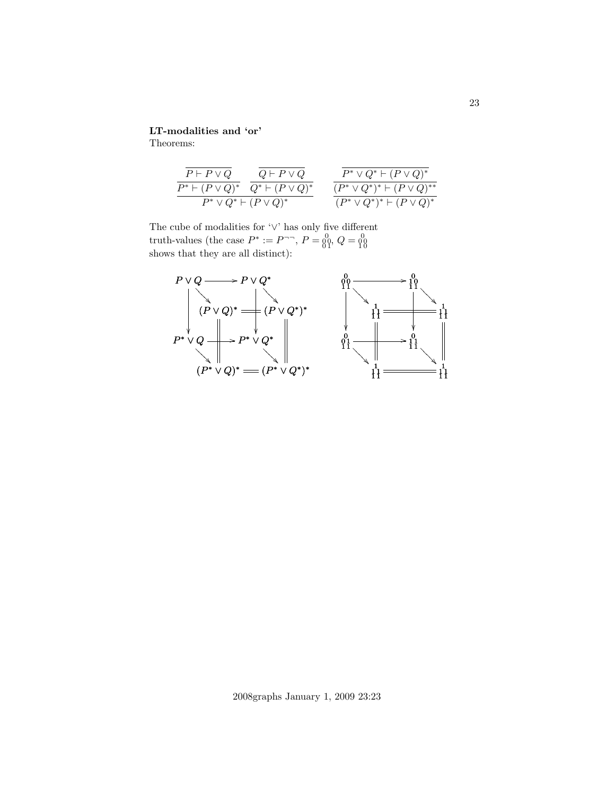# LT-modalities and 'or'

Theorems:

$$
\frac{\overline{P \vdash P \vee Q}}{\overline{P^* \vdash (P \vee Q)^*}} \cdot \frac{\overline{Q \vdash P \vee Q}}{\overline{Q^* \vdash (P \vee Q)^*}} \quad \frac{\overline{P^* \vee Q^* \vdash (P \vee Q)^*}}{\overline{(P^* \vee Q^*)^* \vdash (P \vee Q)^*^*}}}{\overline{(P^* \vee Q^*)^* \vdash (P \vee Q)^*^*}}
$$

The cube of modalities for '∨' has only five different truth-values (the case  $P^* := P^{-\neg}$ ,  $P = \begin{bmatrix} 0 & 0 \\ 0 & 1 \end{bmatrix}$ ,  $Q = \begin{bmatrix} 0 & 0 \\ 0 & 1 \end{bmatrix}$ <br>shows that they are all distinct):



2008graphs January 1, 2009 23:23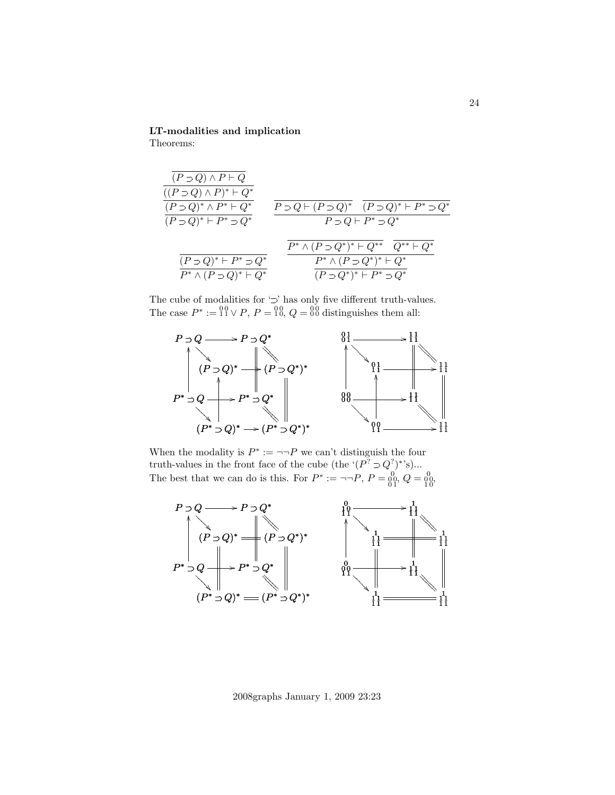LT-modalities and implication

Theorems:

$$
\frac{\frac{\overline{(P \supset Q) \land P \vdash Q}}{((P \supset Q) \land P)^* \vdash Q^*} \quad \frac{\overline{(P \supset Q) \land P \vdash P^* \bigcirc Q^*}}{P \supset Q + P^* \supset Q^*} \quad \frac{\overline{P \supset Q \vdash (P \supset Q)^*} \quad (\overline{P \supset Q)^* \vdash P^* \supset Q^*} \\\hline \quad \frac{\overline{P \supset Q \vdash (P \supset Q)^* \vdash P^* \supset Q^*}}{P \supset Q + P^* \supset Q^*} \quad \frac{\overline{P^* \land (P \supset Q^*)^* \vdash Q^*} \quad \overline{Q^{**} \vdash Q^*}}{\overline{P^* \land (P \supset Q^*)^* \vdash Q^*} \quad \frac{\overline{P^* \land (P \supset Q^*)^* \vdash Q^*}}{(\overline{P \supset Q^*)^* \vdash P^* \supset Q^*}} \quad \frac{\overline{P^* \land (P \supset Q^*)^* \vdash Q^*}}{\overline{(P \supset Q^*)^* \vdash P^* \supset Q^*}}
$$

The cube of modalities for  $\mathcal{L}$  has only five different truth-values. The case  $P^* := \{ \begin{matrix} 0 \\ 1 \end{matrix} \} \vee P, P = \{ \begin{matrix} 0 \\ 0 \end{matrix}, Q = \{ \begin{matrix} 0 \\ 0 \end{matrix} \}$  distinguishes them all:



When the modality is  $P^* := \neg \neg P$  we can't distinguish the four truth-values in the front face of the cube (the ' $(P^? \supset Q^? )^*$ 's)... The best that we can do is this. For  $P^* := \neg \neg P$ ,  $P = 0,0, Q = 0,0, \overline{Q} = 0,0, \overline{Q} = 0,0, \overline{Q} = 0,0, \overline{Q} = 0,0, \overline{Q} = 0, \overline{Q} = 0, \overline{Q} = 0, \overline{Q} = 0, \overline{Q} = 0, \overline{Q} = 0, \overline{Q} = 0, \overline{Q} = 0, \overline{Q} = 0, \overline{Q} = 0, \overline{Q} =$ 



2008graphs January 1, 2009 23:23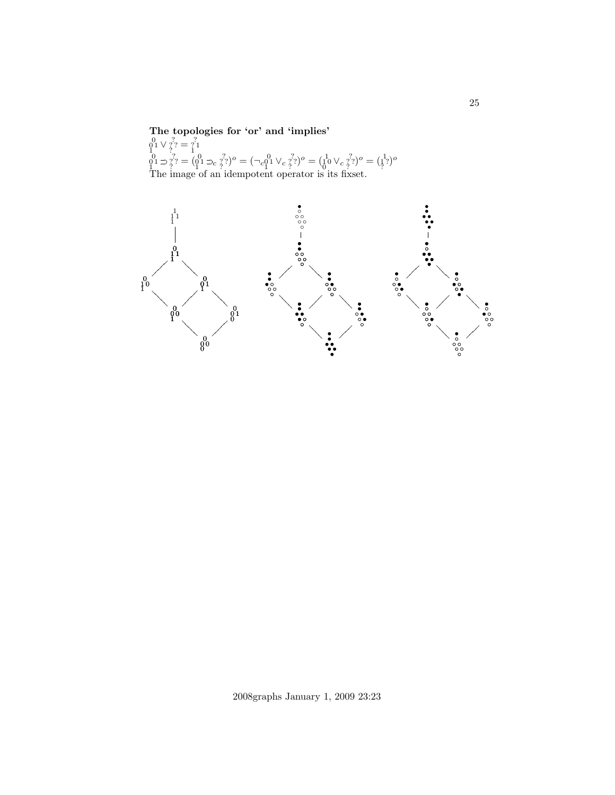The topologies for 'or' and 'implies'<br>  ${}^{0}_{0}1 \vee {}^{?}_{?} = {}^{?}_{1}1$ <br>  ${}^{0}_{0}1 \supset {}^{?}_{?} = ({}^{0}_{0}1 \supset {}^{?}_{c}2)^{o} = (\sup_{c}^{0}_{1}1 \vee {}^{?}_{c}2)^{o} = ({}^{1}_{0}0 \vee {}^{?}_{c}2)^{o} = ({}^{1}_{1}2)^{o}$ The image of an idempotent operator is its fixset.



25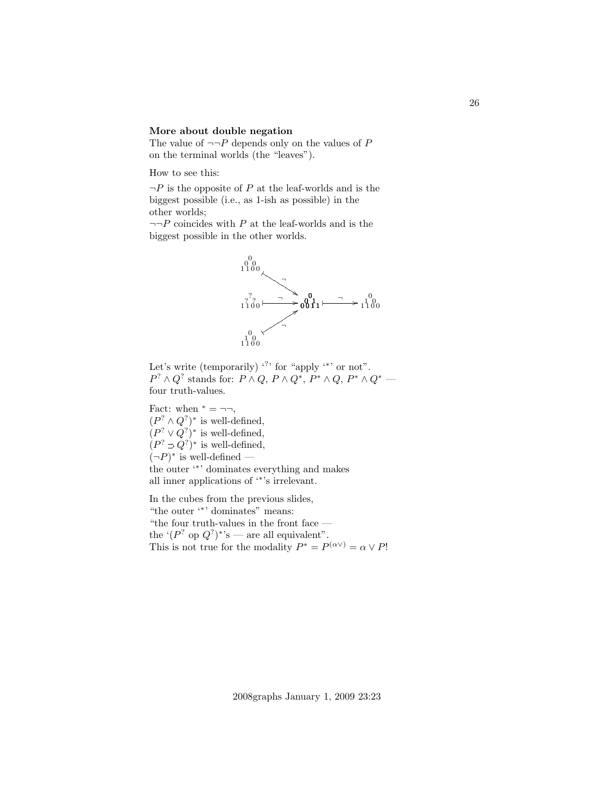#### More about double negation

The value of  $\neg\neg P$  depends only on the values of P on the terminal worlds (the "leaves").

How to see this:

 $\neg P$  is the opposite of P at the leaf-worlds and is the biggest possible (i.e., as 1-ish as possible) in the other worlds;

 $\neg\neg P$  coincides with  $P$  at the leaf-worlds and is the biggest possible in the other worlds.



Let's write (temporarily)  $\cdot$ ? for "apply  $\cdot$ " or not".  $P^? \wedge Q^?$  stands for:  $P \wedge Q$ ,  $P \wedge Q^*$ ,  $P^* \wedge Q$ ,  $P^* \wedge Q^*$  four truth-values.

Fact: when  $* = \neg \neg$ ,  $(P^? \wedge Q^?)^*$  is well-defined,  $(P^? \vee Q^?)^*$  is well-defined,  $(P^? \supset Q^?)^*$  is well-defined,  $(\neg P)^*$  is well-defined the outer '<sup>∗</sup> ' dominates everything and makes all inner applications of '<sup>∗</sup> 's irrelevant.

In the cubes from the previous slides, "the outer '<sup>∗</sup> ' dominates" means: "the four truth-values in the front face  $-\,$ the ' $(P^?$  op  $Q^?$ ''s — are all equivalent". This is not true for the modality  $P^* = P^{(\alpha \vee)} = \alpha \vee P!$  26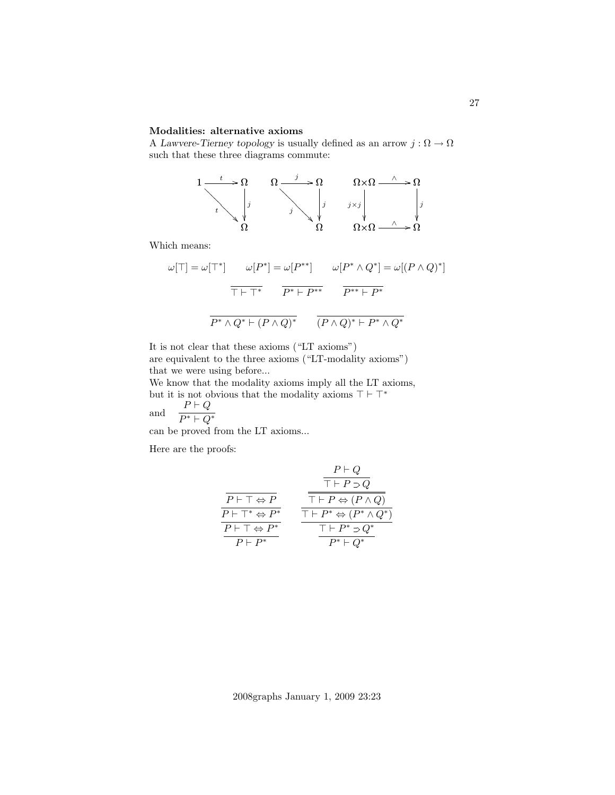### Modalities: alternative axioms

A Lawvere-Tierney topology is usually defined as an arrow  $j : \Omega \to \Omega$ such that these three diagrams commute:

$$
\begin{array}{ccc}\n1 & \longrightarrow & \Omega & \longrightarrow & \Omega \\
\hline\n\downarrow & & & & \\
\hline\n\downarrow & & & & \\
\hline\n\downarrow & & & & \\
\hline\n\downarrow & & & & \\
\hline\n\downarrow & & & & \\
\hline\n\downarrow & & & & \\
\hline\n\downarrow & & & & \\
\hline\n\downarrow & & & & \\
\hline\n\downarrow & & & & \\
\hline\n\downarrow & & & & \\
\hline\n\downarrow & & & & \\
\hline\n\downarrow & & & & \\
\hline\n\downarrow & & & & \\
\hline\n\downarrow & & & & \\
\hline\n\downarrow & & & & \\
\hline\n\downarrow & & & & \\
\hline\n\downarrow & & & & \\
\hline\n\downarrow & & & & \\
\hline\n\downarrow & & & & \\
\hline\n\downarrow & & & & & \\
\hline\n\downarrow & & & & & \\
\hline\n\downarrow & & & & & \\
\hline\n\downarrow & & & & & \\
\hline\n\downarrow & & & & & \\
\hline\n\downarrow & & & & & \\
\hline\n\downarrow & & & & & \\
\hline\n\downarrow & & & & & \\
\hline\n\downarrow & & & & & \\
\hline\n\downarrow & & & & & \\
\hline\n\downarrow & & & & & \\
\hline\n\downarrow & & & & & \\
\hline\n\downarrow & & & & & \\
\hline\n\downarrow & & & & & \\
\hline\n\downarrow & & & & & \\
\hline\n\downarrow & & & & & \\
\hline\n\downarrow & & & & & \\
\hline\n\downarrow & & & & & \\
\hline\n\downarrow & & & & & \\
\hline\n\downarrow & & & & & \\
\hline\n\downarrow & & & & & \\
\hline\n\downarrow & & & & & \\
\hline\n\downarrow & & & & & \\
\hline\n\downarrow & & & & & \\
\hline\n\downarrow & & & & & \\
\hline\n\downarrow & & & & & \\
\hline\n\downarrow & & & & & \\
\hline\n\downarrow & & & & & \\
\hline\n\downarrow & & & & & \\
\hline\n\downarrow & & & & & \\
\hline\n\downarrow & & & & & \\
\hline\n\downarrow & & & & & \\
\hline\n\downarrow & & & & & \\
\hline\n\downarrow & & & & & \\
\hline\n\downarrow & & & & & \\
\hline\n\downarrow & & & & & \\
\hline\n\downarrow & & & & & \\
\hline\n\downarrow & & & & & \\
\hline\n\downarrow & & & & & \\
\hline
$$

Which means:

$$
\omega[\top] = \omega[\top^*] \qquad \omega[P^*] = \omega[P^{**}] \qquad \omega[P^* \wedge Q^*] = \omega[(P \wedge Q)^*]
$$

$$
\overline{\top \vdash \top^*} \qquad \overline{P^* \vdash P^{**}} \qquad \overline{P^{**} \vdash P^*}
$$

$$
\overline{P^* \wedge Q^* \vdash (P \wedge Q)^*} \qquad \overline{(P \wedge Q)^* \vdash P^* \wedge Q^*}
$$

It is not clear that these axioms ("LT axioms") are equivalent to the three axioms ("LT-modality axioms") that we were using before...

We know that the modality axioms imply all the LT axioms, but it is not obvious that the modality axioms  $\top \vdash \top^*$ and  $P \vdash Q$ 

and 
$$
P^* \vdash Q^*
$$

can be proved from the LT axioms...

Here are the proofs:

$$
\begin{array}{cc}\n & P \vdash Q \\
\hline\n\overline{P \vdash \top \Leftrightarrow P} \\
\hline\n\overline{P \vdash \top \Leftrightarrow P^*} \\
\hline\n\overline{P \vdash \top \Leftrightarrow P^*} \\
\hline\n\overline{P \vdash P^*} \\
\hline\n\overline{P \vdash P^*} \\
\hline\n\end{array}\n\quad\n\begin{array}{cc}\n & \overline{\top \vdash P \Leftrightarrow (P \land Q)} \\
\hline\hline\n\overline{\top \vdash P \Leftrightarrow (P^* \land Q^*)} \\
\hline\n\overline{\top \vdash P^* \Rightarrow Q^*} \\
\hline\n\overline{P \vdash P^*} \\
\hline\n\overline{P^* \vdash Q^*}\n\end{array}
$$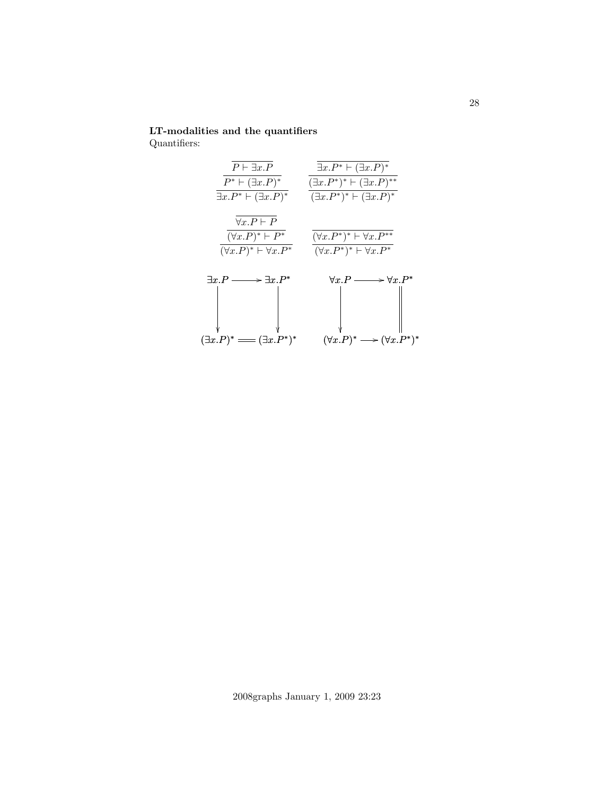# LT-modalities and the quantifiers

Quantifiers:

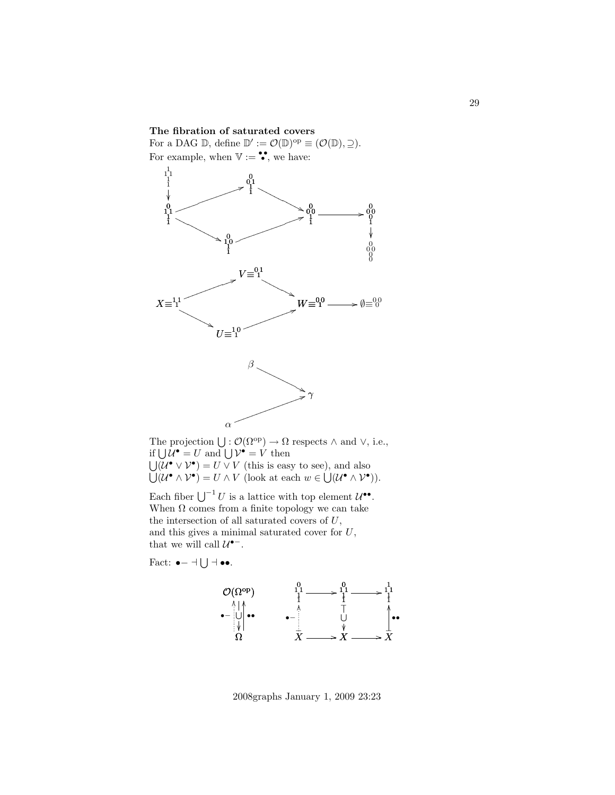### The fibration of saturated covers

For a DAG  $\mathbb{D}$ , define  $\mathbb{D}' := \mathcal{O}(\mathbb{D})^{\text{op}} \equiv (\mathcal{O}(\mathbb{D}), \supseteq)$ . For example, when  $V := \bullet$ , we have:



The projection  $\bigcup : \mathcal{O}(\Omega^{\text{op}}) \to \Omega$  respects  $\wedge$  and  $\vee$ , i.e., if  $\bigcup \mathcal{U}^{\bullet} = U$  and  $\bigcup \mathcal{V}^{\bullet} = V$  then  $\bigcup (\mathcal{U}^{\bullet} \vee \mathcal{V}^{\bullet}) = U \vee V$  (this is easy to see), and also  $\bigcup (\mathcal{U}^{\bullet} \wedge \mathcal{V}^{\bullet}) = U \wedge V$  (look at each  $w \in \bigcup (\mathcal{U}^{\bullet} \wedge \mathcal{V}^{\bullet})$ ).

Each fiber  $\bigcup^{-1} U$  is a lattice with top element  $\mathcal{U}^{\bullet\bullet}$ . When  $\Omega$  comes from a finite topology we can take the intersection of all saturated covers of U, and this gives a minimal saturated cover for  $U$ , that we will call  $\mathcal{U}^{\bullet-}$ .

Fact: 
$$
\bullet - \dashv \bigcup \dashv \bullet \bullet
$$
.



2008graphs January 1, 2009 23:23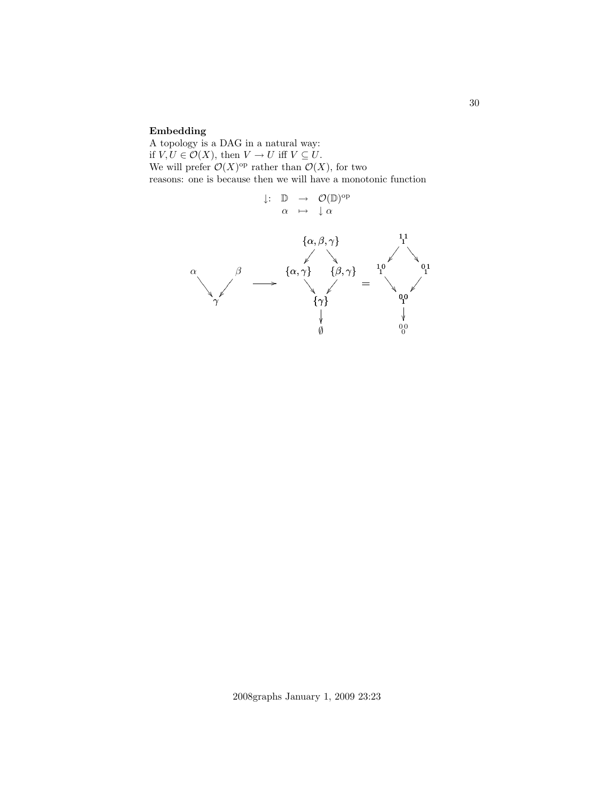## Embedding

A topology is a DAG in a natural way: if  $V, U \in \mathcal{O}(X)$ , then  $V \to U$  iff  $V \subseteq U$ . We will prefer  $\mathcal{O}(X)$ <sup>op</sup> rather than  $\mathcal{O}(X)$ , for two reasons: one is because then we will have a monotonic function